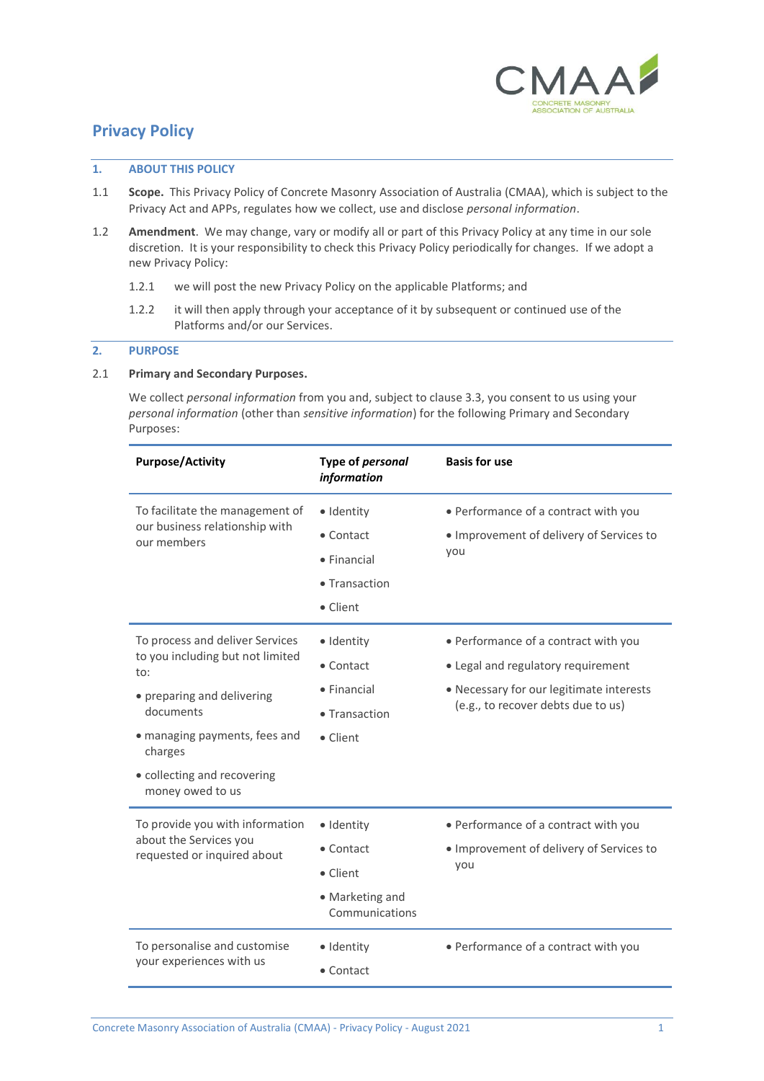

# **Privacy Policy**

### **1. ABOUT THIS POLICY**

- 1.1 **Scope.** This Privacy Policy of Concrete Masonry Association of Australia (CMAA), which is subject to the Privacy Act and APPs, regulates how we collect, use and disclose *personal information*.
- 1.2 **Amendment**. We may change, vary or modify all or part of this Privacy Policy at any time in our sole discretion. It is your responsibility to check this Privacy Policy periodically for changes. If we adopt a new Privacy Policy:
	- 1.2.1 we will post the new Privacy Policy on the applicable Platforms; and
	- 1.2.2 it will then apply through your acceptance of it by subsequent or continued use of the Platforms and/or our Services.

# **2. PURPOSE**

# <span id="page-0-0"></span>2.1 **Primary and Secondary Purposes.**

We collect *personal information* from you and, subject to claus[e 3.3,](#page-2-0) you consent to us using your *personal information* (other than *sensitive information*) for the following Primary and Secondary Purposes:

| <b>Purpose/Activity</b>                                                                                                                                                                                              | Type of personal<br>information                                                                | <b>Basis for use</b>                                                                                                                                         |
|----------------------------------------------------------------------------------------------------------------------------------------------------------------------------------------------------------------------|------------------------------------------------------------------------------------------------|--------------------------------------------------------------------------------------------------------------------------------------------------------------|
| To facilitate the management of<br>our business relationship with<br>our members                                                                                                                                     | · Identity<br>• Contact<br>$\bullet$ Financial<br>• Transaction<br>• Client                    | • Performance of a contract with you<br>· Improvement of delivery of Services to<br>you                                                                      |
| To process and deliver Services<br>to you including but not limited<br>to:<br>• preparing and delivering<br>documents<br>• managing payments, fees and<br>charges<br>• collecting and recovering<br>money owed to us | · Identity<br>• Contact<br>$\bullet$ Financial<br>• Transaction<br>• Client                    | • Performance of a contract with you<br>• Legal and regulatory requirement<br>• Necessary for our legitimate interests<br>(e.g., to recover debts due to us) |
| To provide you with information<br>about the Services you<br>requested or inquired about<br>To personalise and customise                                                                                             | · Identity<br>$\bullet$ Contact<br>• Client<br>• Marketing and<br>Communications<br>· Identity | • Performance of a contract with you<br>· Improvement of delivery of Services to<br>you<br>• Performance of a contract with you                              |
| your experiences with us                                                                                                                                                                                             | $\bullet$ Contact                                                                              |                                                                                                                                                              |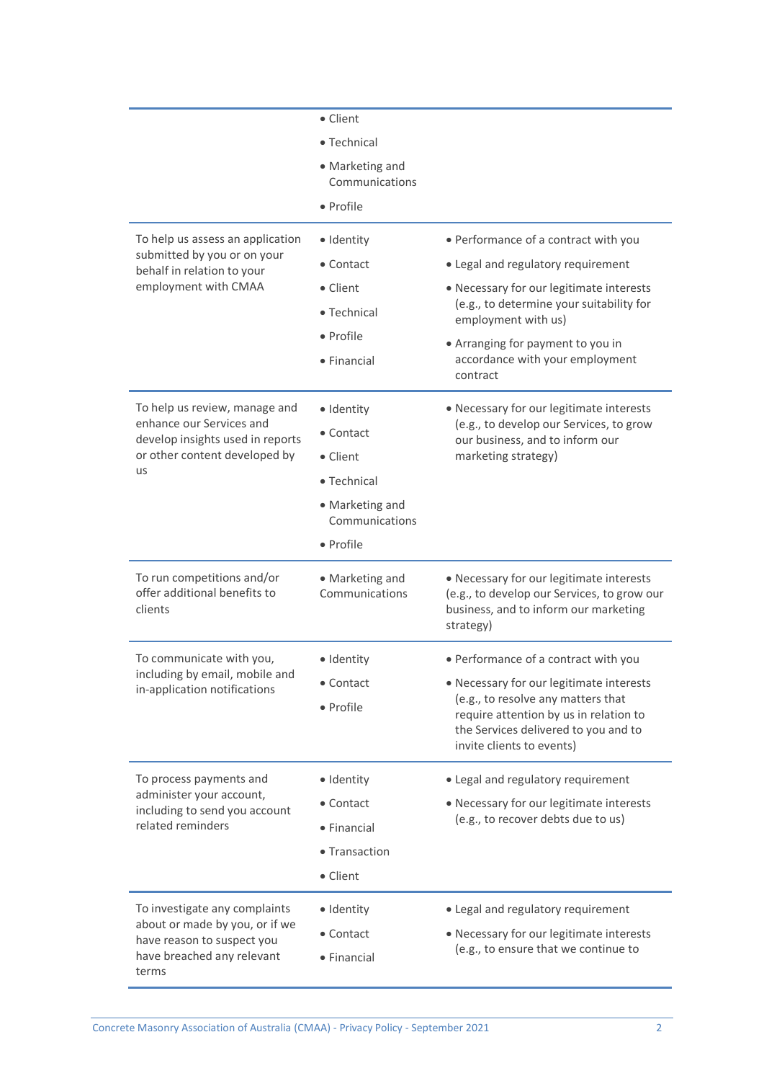| To help us assess an application<br>submitted by you or on your<br>behalf in relation to your<br>employment with CMAA                | • Client<br>• Technical<br>• Marketing and<br>Communications<br>• Profile<br>· Identity<br>• Contact<br>• Client<br>• Technical<br>• Profile | • Performance of a contract with you<br>• Legal and regulatory requirement<br>• Necessary for our legitimate interests<br>(e.g., to determine your suitability for<br>employment with us)<br>• Arranging for payment to you in        |
|--------------------------------------------------------------------------------------------------------------------------------------|----------------------------------------------------------------------------------------------------------------------------------------------|---------------------------------------------------------------------------------------------------------------------------------------------------------------------------------------------------------------------------------------|
|                                                                                                                                      | • Financial                                                                                                                                  | accordance with your employment<br>contract                                                                                                                                                                                           |
| To help us review, manage and<br>enhance our Services and<br>develop insights used in reports<br>or other content developed by<br>us | · Identity<br>• Contact<br>• Client<br>• Technical<br>• Marketing and<br>Communications<br>• Profile                                         | • Necessary for our legitimate interests<br>(e.g., to develop our Services, to grow<br>our business, and to inform our<br>marketing strategy)                                                                                         |
| To run competitions and/or<br>offer additional benefits to<br>clients                                                                | • Marketing and<br>Communications                                                                                                            | • Necessary for our legitimate interests<br>(e.g., to develop our Services, to grow our<br>business, and to inform our marketing<br>strategy)                                                                                         |
| To communicate with you,<br>including by email, mobile and<br>in-application notifications                                           | · Identity<br>• Contact<br>• Profile                                                                                                         | • Performance of a contract with you<br>• Necessary for our legitimate interests<br>(e.g., to resolve any matters that<br>require attention by us in relation to<br>the Services delivered to you and to<br>invite clients to events) |
| To process payments and<br>administer your account,<br>including to send you account<br>related reminders                            | · Identity<br>• Contact<br>• Financial<br>• Transaction<br>• Client                                                                          | • Legal and regulatory requirement<br>• Necessary for our legitimate interests<br>(e.g., to recover debts due to us)                                                                                                                  |
| To investigate any complaints<br>about or made by you, or if we<br>have reason to suspect you<br>have breached any relevant<br>terms | · Identity<br>• Contact<br>• Financial                                                                                                       | • Legal and regulatory requirement<br>• Necessary for our legitimate interests<br>(e.g., to ensure that we continue to                                                                                                                |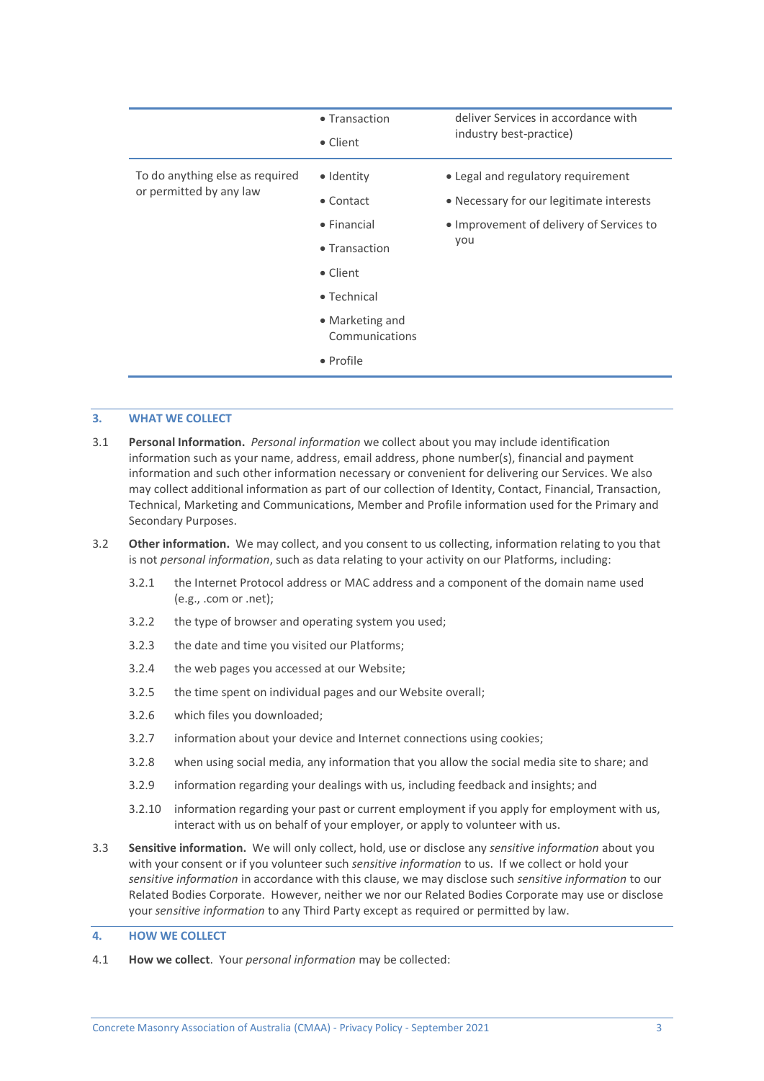|                                                            | • Transaction<br>• Client         | deliver Services in accordance with<br>industry best-practice)                 |
|------------------------------------------------------------|-----------------------------------|--------------------------------------------------------------------------------|
| To do anything else as required<br>or permitted by any law | • Identity<br>$\bullet$ Contact   | • Legal and regulatory requirement<br>• Necessary for our legitimate interests |
|                                                            | $\bullet$ Financial               | • Improvement of delivery of Services to<br>you                                |
|                                                            | • Transaction                     |                                                                                |
|                                                            | • Client                          |                                                                                |
|                                                            | $\bullet$ Technical               |                                                                                |
|                                                            | • Marketing and<br>Communications |                                                                                |
|                                                            | • Profile                         |                                                                                |

### **3. WHAT WE COLLECT**

- 3.1 **Personal Information.** *Personal information* we collect about you may include identification information such as your name, address, email address, phone number(s), financial and payment information and such other information necessary or convenient for delivering our Services. We also may collect additional information as part of our collection of Identity, Contact, Financial, Transaction, Technical, Marketing and Communications, Member and Profile information used for the Primary and Secondary Purposes.
- 3.2 **Other information.** We may collect, and you consent to us collecting, information relating to you that is not *personal information*, such as data relating to your activity on our Platforms, including:
	- 3.2.1 the Internet Protocol address or MAC address and a component of the domain name used (e.g., .com or .net);
	- 3.2.2 the type of browser and operating system you used;
	- 3.2.3 the date and time you visited our Platforms;
	- 3.2.4 the web pages you accessed at our Website;
	- 3.2.5 the time spent on individual pages and our Website overall;
	- 3.2.6 which files you downloaded;
	- 3.2.7 information about your device and Internet connections using cookies;
	- 3.2.8 when using social media, any information that you allow the social media site to share; and
	- 3.2.9 information regarding your dealings with us, including feedback and insights; and
	- 3.2.10 information regarding your past or current employment if you apply for employment with us, interact with us on behalf of your employer, or apply to volunteer with us.
- <span id="page-2-0"></span>3.3 **Sensitive information.** We will only collect, hold, use or disclose any *sensitive information* about you with your consent or if you volunteer such *sensitive information* to us. If we collect or hold your *sensitive information* in accordance with this clause, we may disclose such *sensitive information* to our Related Bodies Corporate. However, neither we nor our Related Bodies Corporate may use or disclose your *sensitive information* to any Third Party except as required or permitted by law.

### **4. HOW WE COLLECT**

4.1 **How we collect**. Your *personal information* may be collected: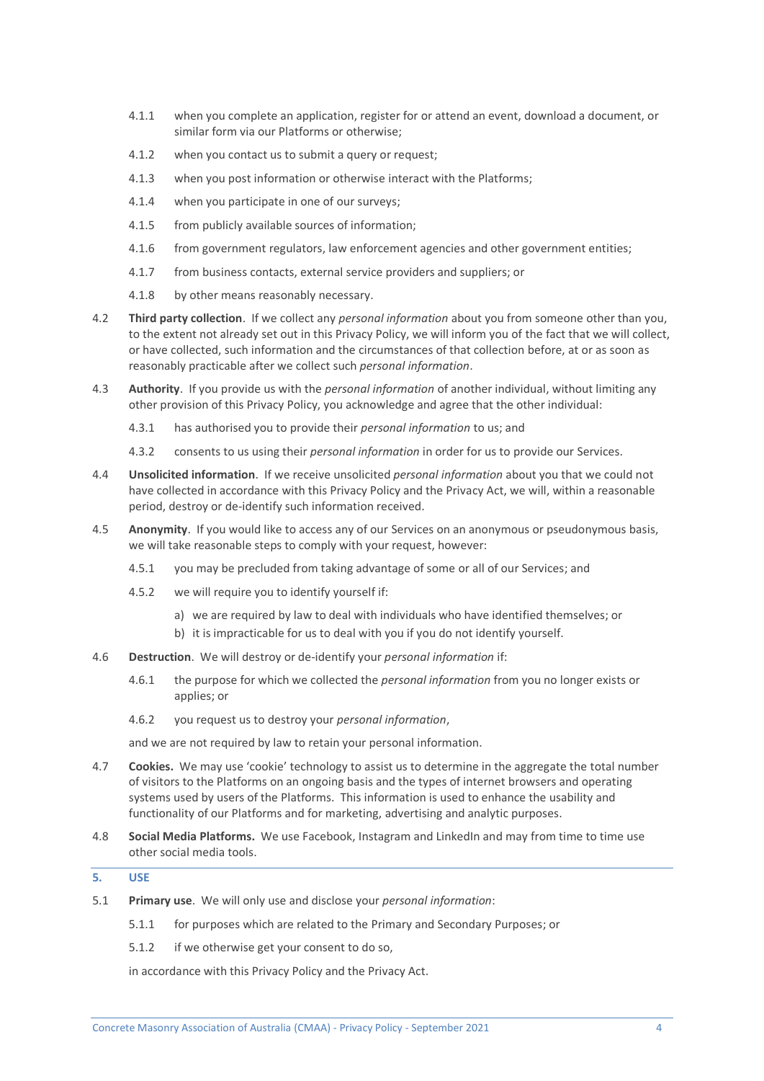- 4.1.1 when you complete an application, register for or attend an event, download a document, or similar form via our Platforms or otherwise;
- 4.1.2 when you contact us to submit a query or request;
- 4.1.3 when you post information or otherwise interact with the Platforms;
- 4.1.4 when you participate in one of our surveys;
- 4.1.5 from publicly available sources of information;
- 4.1.6 from government regulators, law enforcement agencies and other government entities;
- 4.1.7 from business contacts, external service providers and suppliers; or
- 4.1.8 by other means reasonably necessary.
- 4.2 **Third party collection**. If we collect any *personal information* about you from someone other than you, to the extent not already set out in this Privacy Policy, we will inform you of the fact that we will collect, or have collected, such information and the circumstances of that collection before, at or as soon as reasonably practicable after we collect such *personal information*.
- 4.3 **Authority**. If you provide us with the *personal information* of another individual, without limiting any other provision of this Privacy Policy, you acknowledge and agree that the other individual:
	- 4.3.1 has authorised you to provide their *personal information* to us; and
	- 4.3.2 consents to us using their *personal information* in order for us to provide our Services.
- 4.4 **Unsolicited information**. If we receive unsolicited *personal information* about you that we could not have collected in accordance with this Privacy Policy and the Privacy Act, we will, within a reasonable period, destroy or de-identify such information received.
- 4.5 **Anonymity**. If you would like to access any of our Services on an anonymous or pseudonymous basis, we will take reasonable steps to comply with your request, however:
	- 4.5.1 you may be precluded from taking advantage of some or all of our Services; and
	- 4.5.2 we will require you to identify yourself if:
		- a) we are required by law to deal with individuals who have identified themselves; or
		- b) it is impracticable for us to deal with you if you do not identify yourself.
- 4.6 **Destruction**. We will destroy or de-identify your *personal information* if:
	- 4.6.1 the purpose for which we collected the *personal information* from you no longer exists or applies; or
	- 4.6.2 you request us to destroy your *personal information*,

and we are not required by law to retain your personal information.

- 4.7 **Cookies.** We may use 'cookie' technology to assist us to determine in the aggregate the total number of visitors to the Platforms on an ongoing basis and the types of internet browsers and operating systems used by users of the Platforms. This information is used to enhance the usability and functionality of our Platforms and for marketing, advertising and analytic purposes.
- 4.8 **Social Media Platforms.** We use Facebook, Instagram and LinkedIn and may from time to time use other social media tools.

# **5. USE**

- 5.1 **Primary use**. We will only use and disclose your *personal information*:
	- 5.1.1 for purposes which are related to the Primary and Secondary Purposes; or
	- 5.1.2 if we otherwise get your consent to do so,

in accordance with this Privacy Policy and the Privacy Act.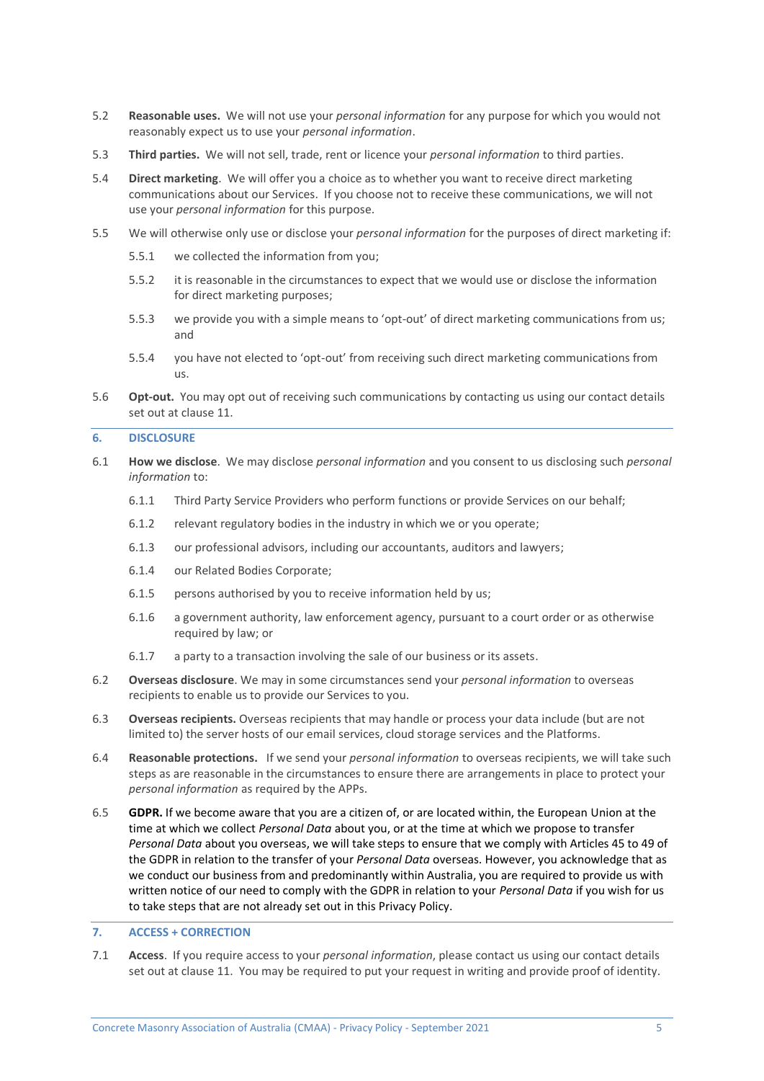- 5.2 **Reasonable uses.** We will not use your *personal information* for any purpose for which you would not reasonably expect us to use your *personal information*.
- 5.3 **Third parties.** We will not sell, trade, rent or licence your *personal information* to third parties.
- 5.4 **Direct marketing**. We will offer you a choice as to whether you want to receive direct marketing communications about our Services. If you choose not to receive these communications, we will not use your *personal information* for this purpose.
- 5.5 We will otherwise only use or disclose your *personal information* for the purposes of direct marketing if:
	- 5.5.1 we collected the information from you;
	- 5.5.2 it is reasonable in the circumstances to expect that we would use or disclose the information for direct marketing purposes;
	- 5.5.3 we provide you with a simple means to 'opt-out' of direct marketing communications from us; and
	- 5.5.4 you have not elected to 'opt-out' from receiving such direct marketing communications from us.
- 5.6 **Opt-out.** You may opt out of receiving such communications by contacting us using our contact details set out at clause [11.](#page-7-0)

#### **6. DISCLOSURE**

- 6.1 **How we disclose**. We may disclose *personal information* and you consent to us disclosing such *personal information* to:
	- 6.1.1 Third Party Service Providers who perform functions or provide Services on our behalf;
	- 6.1.2 relevant regulatory bodies in the industry in which we or you operate;
	- 6.1.3 our professional advisors, including our accountants, auditors and lawyers;
	- 6.1.4 our Related Bodies Corporate;
	- 6.1.5 persons authorised by you to receive information held by us;
	- 6.1.6 a government authority, law enforcement agency, pursuant to a court order or as otherwise required by law; or
	- 6.1.7 a party to a transaction involving the sale of our business or its assets.
- 6.2 **Overseas disclosure**. We may in some circumstances send your *personal information* to overseas recipients to enable us to provide our Services to you.
- 6.3 **Overseas recipients.** Overseas recipients that may handle or process your data include (but are not limited to) the server hosts of our email services, cloud storage services and the Platforms.
- 6.4 **Reasonable protections.** If we send your *personal information* to overseas recipients, we will take such steps as are reasonable in the circumstances to ensure there are arrangements in place to protect your *personal information* as required by the APPs.
- 6.5 **GDPR.** If we become aware that you are a citizen of, or are located within, the European Union at the time at which we collect *Personal Data* about you, or at the time at which we propose to transfer *Personal Data* about you overseas, we will take steps to ensure that we comply with Articles 45 to 49 of the GDPR in relation to the transfer of your *Personal Data* overseas. However, you acknowledge that as we conduct our business from and predominantly within Australia, you are required to provide us with written notice of our need to comply with the GDPR in relation to your *Personal Data* if you wish for us to take steps that are not already set out in this Privacy Policy.

# **7. ACCESS + CORRECTION**

7.1 **Access**. If you require access to your *personal information*, please contact us using our contact details set out at clause [11.](#page-7-0) You may be required to put your request in writing and provide proof of identity.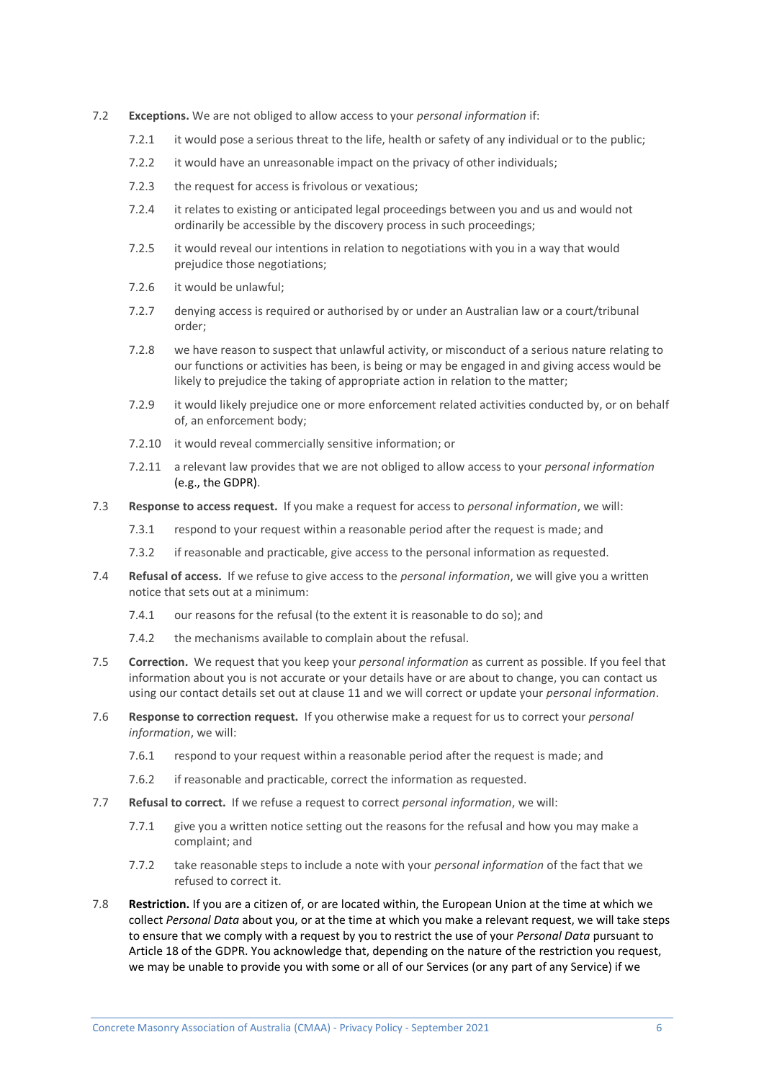- 7.2 **Exceptions.** We are not obliged to allow access to your *personal information* if:
	- 7.2.1 it would pose a serious threat to the life, health or safety of any individual or to the public;
	- 7.2.2 it would have an unreasonable impact on the privacy of other individuals;
	- 7.2.3 the request for access is frivolous or vexatious;
	- 7.2.4 it relates to existing or anticipated legal proceedings between you and us and would not ordinarily be accessible by the discovery process in such proceedings;
	- 7.2.5 it would reveal our intentions in relation to negotiations with you in a way that would prejudice those negotiations;
	- 7.2.6 it would be unlawful;
	- 7.2.7 denying access is required or authorised by or under an Australian law or a court/tribunal order;
	- 7.2.8 we have reason to suspect that unlawful activity, or misconduct of a serious nature relating to our functions or activities has been, is being or may be engaged in and giving access would be likely to prejudice the taking of appropriate action in relation to the matter;
	- 7.2.9 it would likely prejudice one or more enforcement related activities conducted by, or on behalf of, an enforcement body;
	- 7.2.10 it would reveal commercially sensitive information; or
	- 7.2.11 a relevant law provides that we are not obliged to allow access to your *personal information* (e.g., the GDPR).
- 7.3 **Response to access request.** If you make a request for access to *personal information*, we will:
	- 7.3.1 respond to your request within a reasonable period after the request is made; and
	- 7.3.2 if reasonable and practicable, give access to the personal information as requested.
- 7.4 **Refusal of access.** If we refuse to give access to the *personal information*, we will give you a written notice that sets out at a minimum:
	- 7.4.1 our reasons for the refusal (to the extent it is reasonable to do so); and
	- 7.4.2 the mechanisms available to complain about the refusal.
- 7.5 **Correction.** We request that you keep your *personal information* as current as possible. If you feel that information about you is not accurate or your details have or are about to change, you can contact us using our contact details set out at clause [11](#page-7-0) and we will correct or update your *personal information*.
- 7.6 **Response to correction request.** If you otherwise make a request for us to correct your *personal information*, we will:
	- 7.6.1 respond to your request within a reasonable period after the request is made; and
	- 7.6.2 if reasonable and practicable, correct the information as requested.
- 7.7 **Refusal to correct.** If we refuse a request to correct *personal information*, we will:
	- 7.7.1 give you a written notice setting out the reasons for the refusal and how you may make a complaint; and
	- 7.7.2 take reasonable steps to include a note with your *personal information* of the fact that we refused to correct it.
- 7.8 **Restriction.** If you are a citizen of, or are located within, the European Union at the time at which we collect *Personal Data* about you, or at the time at which you make a relevant request, we will take steps to ensure that we comply with a request by you to restrict the use of your *Personal Data* pursuant to Article 18 of the GDPR. You acknowledge that, depending on the nature of the restriction you request, we may be unable to provide you with some or all of our Services (or any part of any Service) if we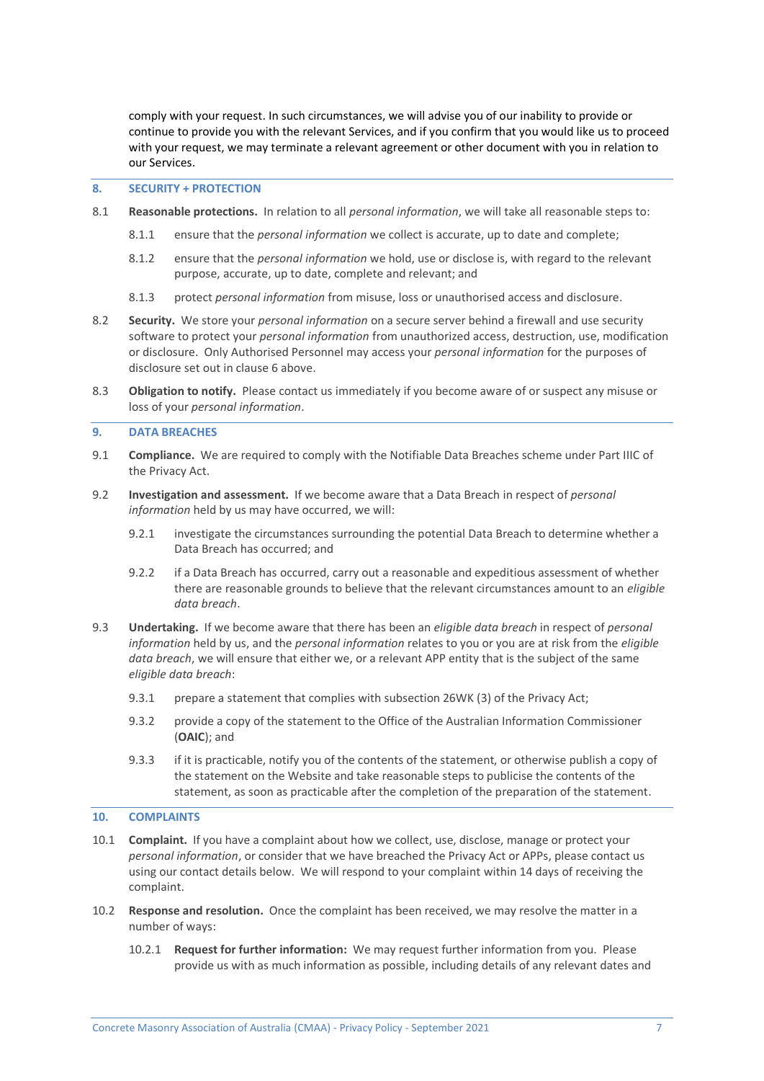comply with your request. In such circumstances, we will advise you of our inability to provide or continue to provide you with the relevant Services, and if you confirm that you would like us to proceed with your request, we may terminate a relevant agreement or other document with you in relation to our Services.

### **8. SECURITY + PROTECTION**

- 8.1 **Reasonable protections.** In relation to all *personal information*, we will take all reasonable steps to:
	- 8.1.1 ensure that the *personal information* we collect is accurate, up to date and complete;
	- 8.1.2 ensure that the *personal information* we hold, use or disclose is, with regard to the relevant purpose, accurate, up to date, complete and relevant; and
	- 8.1.3 protect *personal information* from misuse, loss or unauthorised access and disclosure.
- 8.2 **Security.** We store your *personal information* on a secure server behind a firewall and use security software to protect your *personal information* from unauthorized access, destruction, use, modification or disclosure. Only Authorised Personnel may access your *personal information* for the purposes of disclosure set out in clause 6 above.
- 8.3 **Obligation to notify.** Please contact us immediately if you become aware of or suspect any misuse or loss of your *personal information*.

### **9. DATA BREACHES**

- 9.1 **Compliance.** We are required to comply with the Notifiable Data Breaches scheme under Part IIIC of the Privacy Act.
- 9.2 **Investigation and assessment.** If we become aware that a Data Breach in respect of *personal information* held by us may have occurred, we will:
	- 9.2.1 investigate the circumstances surrounding the potential Data Breach to determine whether a Data Breach has occurred; and
	- 9.2.2 if a Data Breach has occurred, carry out a reasonable and expeditious assessment of whether there are reasonable grounds to believe that the relevant circumstances amount to an *eligible data breach*.
- 9.3 **Undertaking.** If we become aware that there has been an *eligible data breach* in respect of *personal information* held by us, and the *personal information* relates to you or you are at risk from the *eligible data breach*, we will ensure that either we, or a relevant APP entity that is the subject of the same *eligible data breach*:
	- 9.3.1 prepare a statement that complies with subsection 26WK (3) of the Privacy Act;
	- 9.3.2 provide a copy of the statement to the Office of the Australian Information Commissioner (**OAIC**); and
	- 9.3.3 if it is practicable, notify you of the contents of the statement, or otherwise publish a copy of the statement on the Website and take reasonable steps to publicise the contents of the statement, as soon as practicable after the completion of the preparation of the statement.

### **10. COMPLAINTS**

- 10.1 **Complaint.** If you have a complaint about how we collect, use, disclose, manage or protect your *personal information*, or consider that we have breached the Privacy Act or APPs, please contact us using our contact details below. We will respond to your complaint within 14 days of receiving the complaint.
- 10.2 **Response and resolution.** Once the complaint has been received, we may resolve the matter in a number of ways:
	- 10.2.1 **Request for further information:** We may request further information from you. Please provide us with as much information as possible, including details of any relevant dates and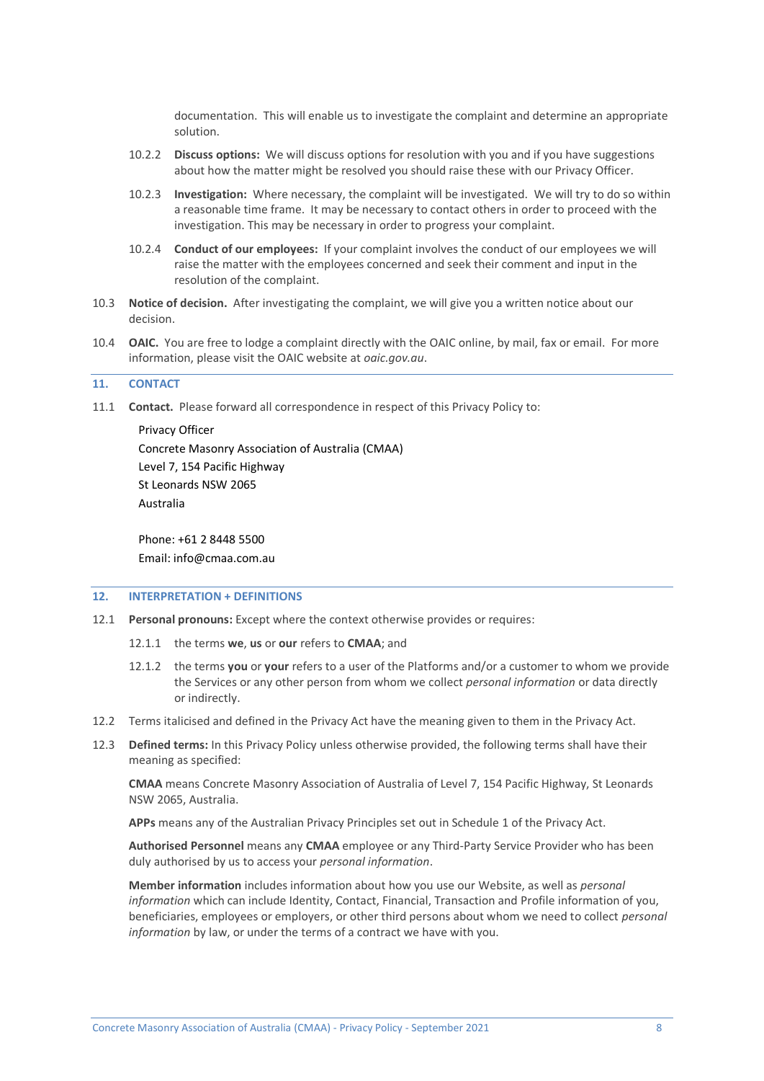documentation. This will enable us to investigate the complaint and determine an appropriate solution.

- 10.2.2 **Discuss options:** We will discuss options for resolution with you and if you have suggestions about how the matter might be resolved you should raise these with our Privacy Officer.
- 10.2.3 **Investigation:** Where necessary, the complaint will be investigated. We will try to do so within a reasonable time frame. It may be necessary to contact others in order to proceed with the investigation. This may be necessary in order to progress your complaint.
- 10.2.4 **Conduct of our employees:** If your complaint involves the conduct of our employees we will raise the matter with the employees concerned and seek their comment and input in the resolution of the complaint.
- 10.3 **Notice of decision.** After investigating the complaint, we will give you a written notice about our decision.
- 10.4 **OAIC.** You are free to lodge a complaint directly with the OAIC online, by mail, fax or email. For more information, please visit the OAIC website at *oaic.gov.au*.

### <span id="page-7-0"></span>**11. CONTACT**

11.1 **Contact.** Please forward all correspondence in respect of this Privacy Policy to:

Privacy Officer Concrete Masonry Association of Australia (CMAA) Level 7, 154 Pacific Highway St Leonards NSW 2065 Australia

Phone: +61 2 8448 5500 Email: info@cmaa.com.au

### **12. INTERPRETATION + DEFINITIONS**

- 12.1 **Personal pronouns:** Except where the context otherwise provides or requires:
	- 12.1.1 the terms **we**, **us** or **our** refers to **CMAA**; and
	- 12.1.2 the terms **you** or **your** refers to a user of the Platforms and/or a customer to whom we provide the Services or any other person from whom we collect *personal information* or data directly or indirectly.
- 12.2 Terms italicised and defined in the Privacy Act have the meaning given to them in the Privacy Act.
- 12.3 **Defined terms:** In this Privacy Policy unless otherwise provided, the following terms shall have their meaning as specified:

**CMAA** means Concrete Masonry Association of Australia of Level 7, 154 Pacific Highway, St Leonards NSW 2065, Australia.

**APPs** means any of the Australian Privacy Principles set out in Schedule 1 of the Privacy Act.

**Authorised Personnel** means any **CMAA** employee or any Third-Party Service Provider who has been duly authorised by us to access your *personal information*.

**Member information** includes information about how you use our Website, as well as *personal information* which can include Identity, Contact, Financial, Transaction and Profile information of you, beneficiaries, employees or employers, or other third persons about whom we need to collect *personal information* by law, or under the terms of a contract we have with you.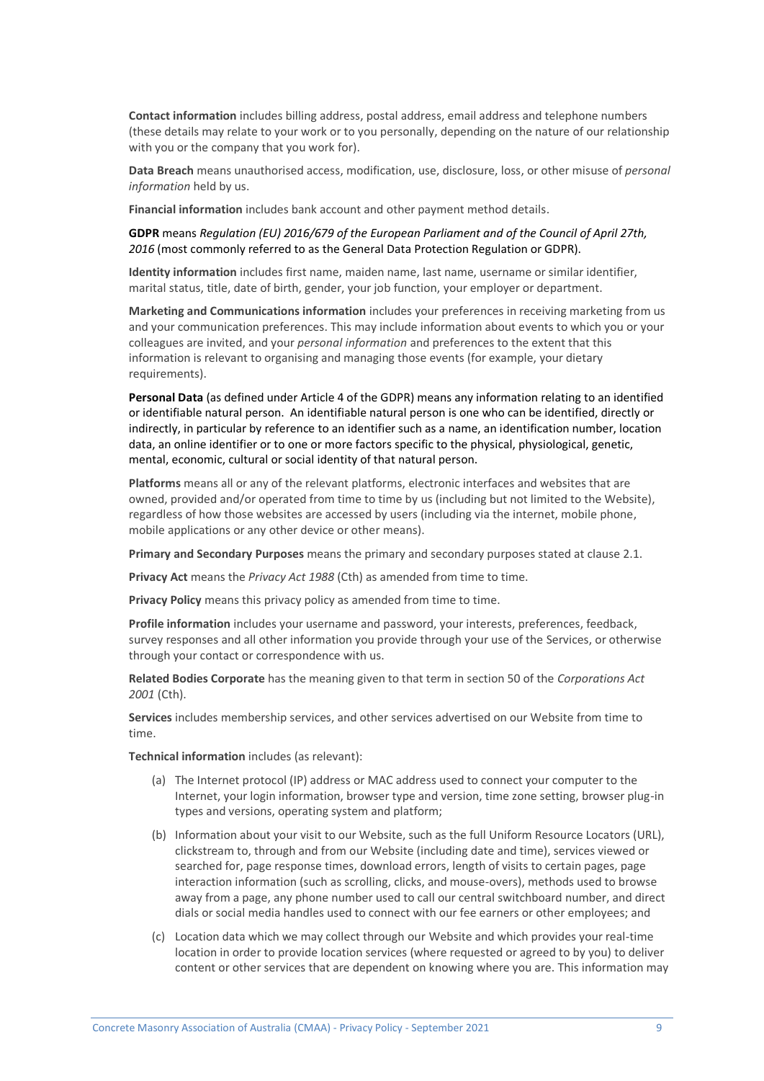**Contact information** includes billing address, postal address, email address and telephone numbers (these details may relate to your work or to you personally, depending on the nature of our relationship with you or the company that you work for).

**Data Breach** means unauthorised access, modification, use, disclosure, loss, or other misuse of *personal information* held by us.

**Financial information** includes bank account and other payment method details.

### **GDPR** means *Regulation (EU) 2016/679 of the European Parliament and of the Council of April 27th, 2016* (most commonly referred to as the General Data Protection Regulation or GDPR).

**Identity information** includes first name, maiden name, last name, username or similar identifier, marital status, title, date of birth, gender, your job function, your employer or department.

**Marketing and Communications information** includes your preferences in receiving marketing from us and your communication preferences. This may include information about events to which you or your colleagues are invited, and your *personal information* and preferences to the extent that this information is relevant to organising and managing those events (for example, your dietary requirements).

**Personal Data** (as defined under Article 4 of the GDPR) means any information relating to an identified or identifiable natural person. An identifiable natural person is one who can be identified, directly or indirectly, in particular by reference to an identifier such as a name, an identification number, location data, an online identifier or to one or more factors specific to the physical, physiological, genetic, mental, economic, cultural or social identity of that natural person.

**Platforms** means all or any of the relevant platforms, electronic interfaces and websites that are owned, provided and/or operated from time to time by us (including but not limited to the Website), regardless of how those websites are accessed by users (including via the internet, mobile phone, mobile applications or any other device or other means).

**Primary and Secondary Purposes** means the primary and secondary purposes stated at claus[e 2.1.](#page-0-0)

**Privacy Act** means the *Privacy Act 1988* (Cth) as amended from time to time.

**Privacy Policy** means this privacy policy as amended from time to time.

**Profile information** includes your username and password, your interests, preferences, feedback, survey responses and all other information you provide through your use of the Services, or otherwise through your contact or correspondence with us.

**Related Bodies Corporate** has the meaning given to that term in section 50 of the *Corporations Act 2001* (Cth).

**Services** includes membership services, and other services advertised on our Website from time to time.

**Technical information** includes (as relevant):

- (a) The Internet protocol (IP) address or MAC address used to connect your computer to the Internet, your login information, browser type and version, time zone setting, browser plug-in types and versions, operating system and platform;
- (b) Information about your visit to our Website, such as the full Uniform Resource Locators (URL), clickstream to, through and from our Website (including date and time), services viewed or searched for, page response times, download errors, length of visits to certain pages, page interaction information (such as scrolling, clicks, and mouse-overs), methods used to browse away from a page, any phone number used to call our central switchboard number, and direct dials or social media handles used to connect with our fee earners or other employees; and
- (c) Location data which we may collect through our Website and which provides your real-time location in order to provide location services (where requested or agreed to by you) to deliver content or other services that are dependent on knowing where you are. This information may